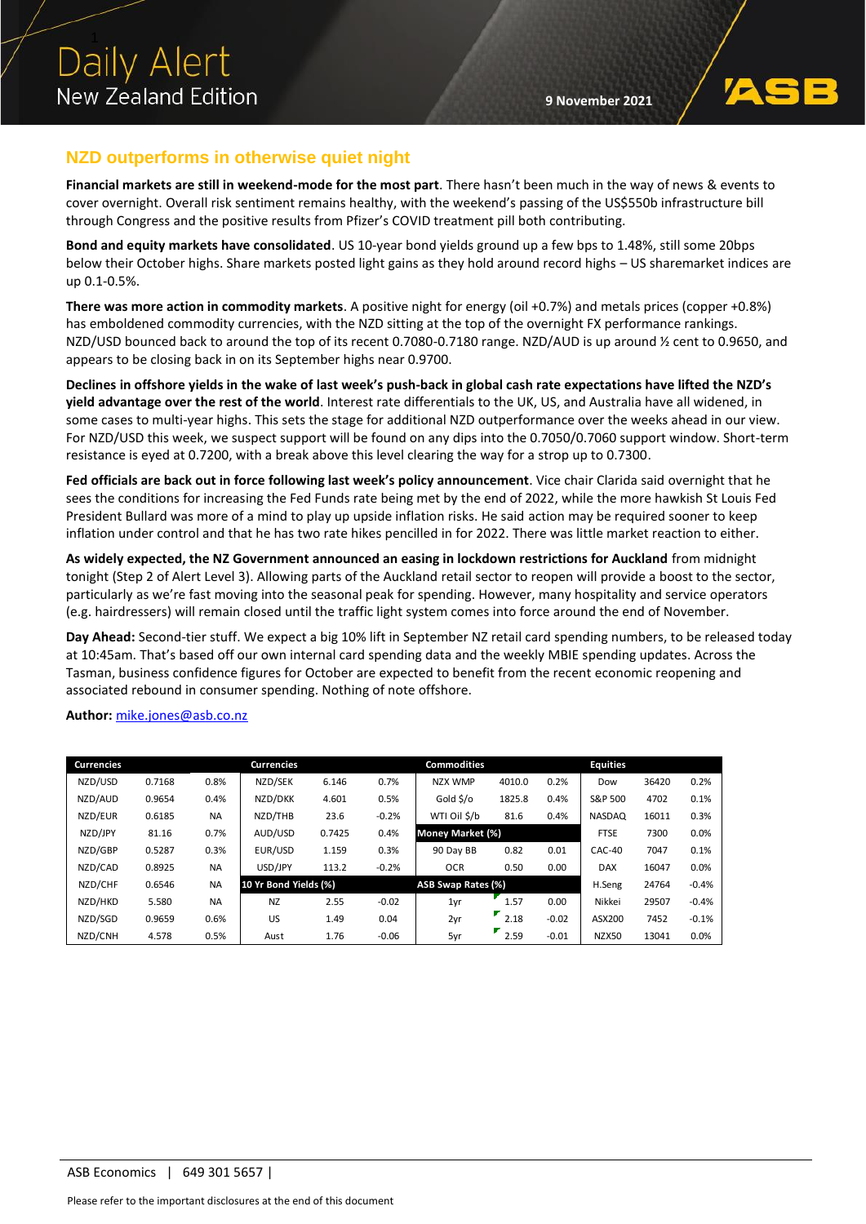

## **NZD outperforms in otherwise quiet night**

**Financial markets are still in weekend-mode for the most part**. There hasn't been much in the way of news & events to cover overnight. Overall risk sentiment remains healthy, with the weekend's passing of the US\$550b infrastructure bill through Congress and the positive results from Pfizer's COVID treatment pill both contributing.

**Bond and equity markets have consolidated**. US 10-year bond yields ground up a few bps to 1.48%, still some 20bps below their October highs. Share markets posted light gains as they hold around record highs – US sharemarket indices are up 0.1-0.5%.

**There was more action in commodity markets**. A positive night for energy (oil +0.7%) and metals prices (copper +0.8%) has emboldened commodity currencies, with the NZD sitting at the top of the overnight FX performance rankings. NZD/USD bounced back to around the top of its recent 0.7080-0.7180 range. NZD/AUD is up around ½ cent to 0.9650, and appears to be closing back in on its September highs near 0.9700.

**Declines in offshore yields in the wake of last week's push-back in global cash rate expectations have lifted the NZD's yield advantage over the rest of the world**. Interest rate differentials to the UK, US, and Australia have all widened, in some cases to multi-year highs. This sets the stage for additional NZD outperformance over the weeks ahead in our view. For NZD/USD this week, we suspect support will be found on any dips into the 0.7050/0.7060 support window. Short-term resistance is eyed at 0.7200, with a break above this level clearing the way for a strop up to 0.7300.

**Fed officials are back out in force following last week's policy announcement**. Vice chair Clarida said overnight that he sees the conditions for increasing the Fed Funds rate being met by the end of 2022, while the more hawkish St Louis Fed President Bullard was more of a mind to play up upside inflation risks. He said action may be required sooner to keep inflation under control and that he has two rate hikes pencilled in for 2022. There was little market reaction to either.

**As widely expected, the NZ Government announced an easing in lockdown restrictions for Auckland** from midnight tonight (Step 2 of Alert Level 3). Allowing parts of the Auckland retail sector to reopen will provide a boost to the sector, particularly as we're fast moving into the seasonal peak for spending. However, many hospitality and service operators (e.g. hairdressers) will remain closed until the traffic light system comes into force around the end of November.

**Day Ahead:** Second-tier stuff. We expect a big 10% lift in September NZ retail card spending numbers, to be released today at 10:45am. That's based off our own internal card spending data and the weekly MBIE spending updates. Across the Tasman, business confidence figures for October are expected to benefit from the recent economic reopening and associated rebound in consumer spending. Nothing of note offshore.

**Author:** [mike.jones@asb.co.nz](mailto:mike.jones@asb.co.nz)

| <b>Currencies</b> |        |           | <b>Currencies</b>     |        |         | <b>Commodities</b> |        |         | <b>Equities</b> |       |         |
|-------------------|--------|-----------|-----------------------|--------|---------|--------------------|--------|---------|-----------------|-------|---------|
| NZD/USD           | 0.7168 | 0.8%      | NZD/SEK               | 6.146  | 0.7%    | <b>NZX WMP</b>     | 4010.0 | 0.2%    | Dow             | 36420 | 0.2%    |
| NZD/AUD           | 0.9654 | 0.4%      | NZD/DKK               | 4.601  | 0.5%    | Gold \$/o          | 1825.8 | 0.4%    | S&P 500         | 4702  | 0.1%    |
| NZD/EUR           | 0.6185 | <b>NA</b> | NZD/THB               | 23.6   | $-0.2%$ | WTI Oil \$/b       | 81.6   | 0.4%    | <b>NASDAQ</b>   | 16011 | 0.3%    |
| NZD/JPY           | 81.16  | 0.7%      | AUD/USD               | 0.7425 | 0.4%    | Money Market (%)   |        |         | <b>FTSE</b>     | 7300  | 0.0%    |
| NZD/GBP           | 0.5287 | 0.3%      | EUR/USD               | 1.159  | 0.3%    | 90 Day BB          | 0.82   | 0.01    | $CAC-40$        | 7047  | 0.1%    |
| NZD/CAD           | 0.8925 | <b>NA</b> | USD/JPY               | 113.2  | $-0.2%$ | <b>OCR</b>         | 0.50   | 0.00    | <b>DAX</b>      | 16047 | 0.0%    |
| NZD/CHF           | 0.6546 | <b>NA</b> | 10 Yr Bond Yields (%) |        |         | ASB Swap Rates (%) |        |         | H.Seng          | 24764 | $-0.4%$ |
| NZD/HKD           | 5.580  | <b>NA</b> | <b>NZ</b>             | 2.55   | $-0.02$ | 1yr                | 1.57   | 0.00    | Nikkei          | 29507 | $-0.4%$ |
| NZD/SGD           | 0.9659 | 0.6%      | <b>US</b>             | 1.49   | 0.04    | 2yr                | 2.18   | $-0.02$ | ASX200          | 7452  | $-0.1%$ |
| NZD/CNH           | 4.578  | 0.5%      | Aust                  | 1.76   | $-0.06$ | 5yr                | 2.59   | $-0.01$ | <b>NZX50</b>    | 13041 | 0.0%    |